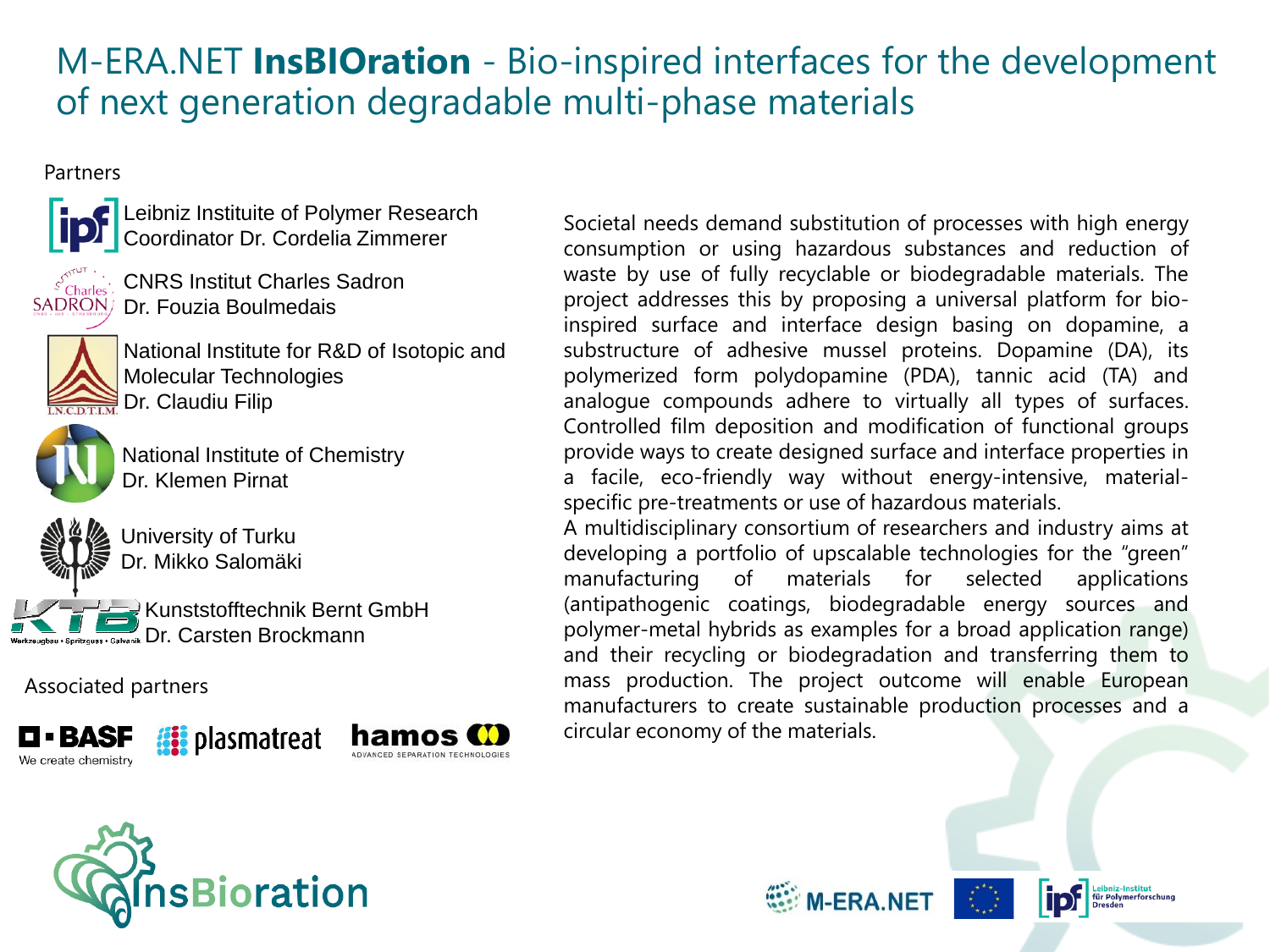## M-ERA.NET **InsBIOration** - Bio-inspired interfaces for the development of next generation degradable multi-phase materials

#### Partners



Leibniz Instituite of Polymer Research Coordinator Dr. Cordelia Zimmerer



CNRS Institut Charles Sadron SADRON/ Dr. Fouzia Boulmedais



National Institute for R&D of Isotopic and Molecular Technologies  $\ddot{\mathbf{R}}$  Dr. Claudiu Filip



National Institute of Chemistry Dr. Klemen Pirnat



University of Turku Dr. Mikko Salomäki

Kunststofftechnik Bernt GmbH **Spritzguss - Galvanik Dr. Carsten Brockmann** 

Associated partners







Societal needs demand substitution of processes with high energy consumption or using hazardous substances and reduction of waste by use of fully recyclable or biodegradable materials. The project addresses this by proposing a universal platform for bioinspired surface and interface design basing on dopamine, a substructure of adhesive mussel proteins. Dopamine (DA), its polymerized form polydopamine (PDA), tannic acid (TA) and analogue compounds adhere to virtually all types of surfaces. Controlled film deposition and modification of functional groups provide ways to create designed surface and interface properties in a facile, eco-friendly way without energy-intensive, materialspecific pre-treatments or use of hazardous materials.

A multidisciplinary consortium of researchers and industry aims at developing a portfolio of upscalable technologies for the "green" manufacturing of materials for selected applications (antipathogenic coatings, biodegradable energy sources and polymer-metal hybrids as examples for a broad application range) and their recycling or biodegradation and transferring them to mass production. The project outcome will enable European manufacturers to create sustainable production processes and a circular economy of the materials.







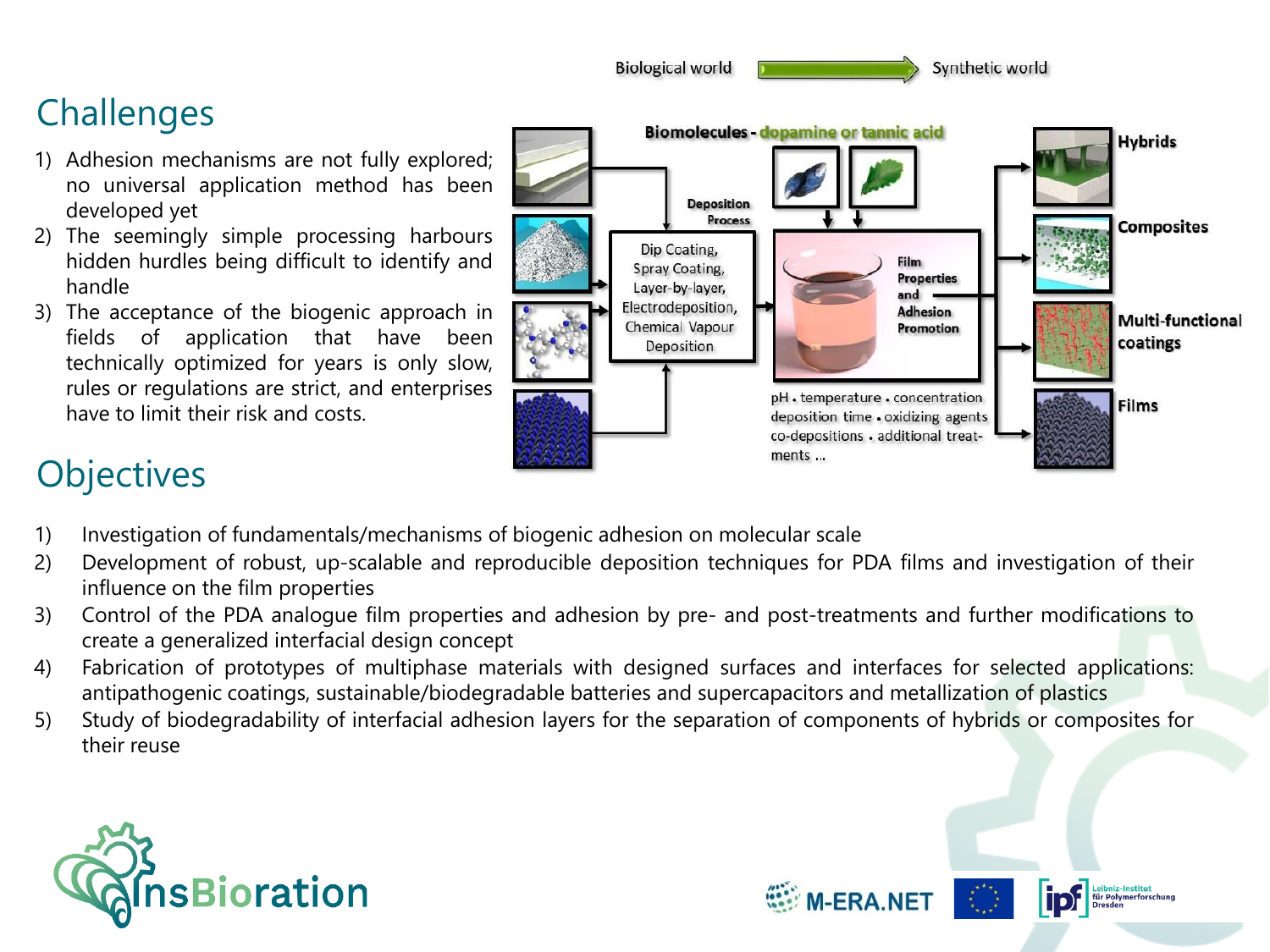

**WEBBANET** 

## **Challenges**

- 1) Adhesion mechanisms are not fully explored; no universal application method has been developed yet
- 2) The seemingly simple processing harbours hidden hurdles being difficult to identify and handle
- 3) The acceptance of the biogenic approach in fields of application that have been technically optimized for years is only slow, rules or regulations are strict, and enterprises have to limit their risk and costs.

# **Objectives**

- 1) Investigation of fundamentals/mechanisms of biogenic adhesion on molecular scale
- 2) Development of robust, up-scalable and reproducible deposition techniques for PDA films and investigation of their influence on the film properties
- 3) Control of the PDA analogue film properties and adhesion by pre- and post-treatments and further modifications to create a generalized interfacial design concept
- 4) Fabrication of prototypes of multiphase materials with designed surfaces and interfaces for selected applications: antipathogenic coatings, sustainable/biodegradable batteries and supercapacitors and metallization of plastics
- 5) Study of biodegradability of interfacial adhesion layers for the separation of components of hybrids or composites for their reuse